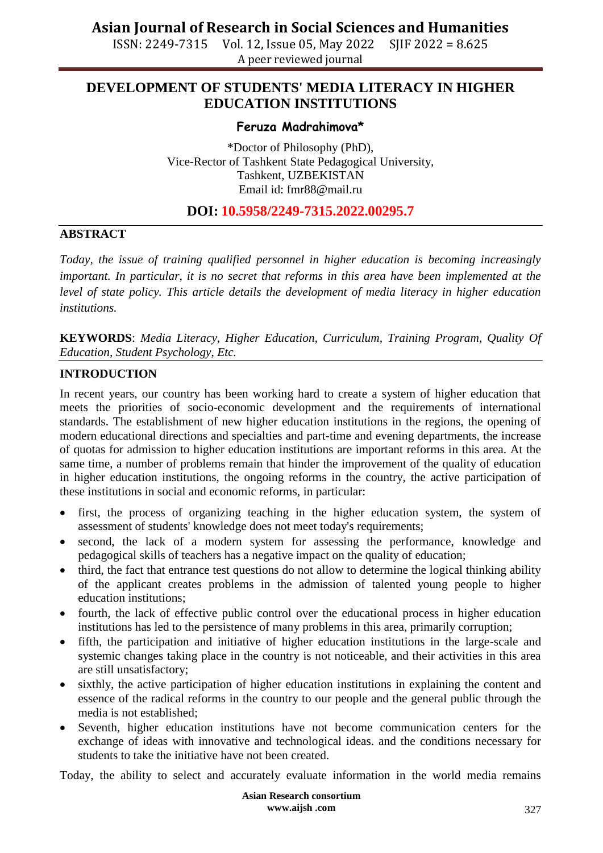ISSN: 2249-7315 Vol. 12, Issue 05, May 2022 SJIF 2022 = 8.625 A peer reviewed journal

### **DEVELOPMENT OF STUDENTS' MEDIA LITERACY IN HIGHER EDUCATION INSTITUTIONS**

#### **Feruza Madrahimova\***

\*Doctor of Philosophy (PhD), Vice-Rector of Tashkent State Pedagogical University, Tashkent, UZBEKISTAN Email id: [fmr88@mail.ru](mailto:fmr88@mail.ru)

### **DOI: 10.5958/2249-7315.2022.00295.7**

### **ABSTRACT**

*Today, the issue of training qualified personnel in higher education is becoming increasingly important. In particular, it is no secret that reforms in this area have been implemented at the level of state policy. This article details the development of media literacy in higher education institutions.*

**KEYWORDS**: *Media Literacy, Higher Education, Curriculum, Training Program, Quality Of Education, Student Psychology, Etc.*

### **INTRODUCTION**

In recent years, our country has been working hard to create a system of higher education that meets the priorities of socio-economic development and the requirements of international standards. The establishment of new higher education institutions in the regions, the opening of modern educational directions and specialties and part-time and evening departments, the increase of quotas for admission to higher education institutions are important reforms in this area. At the same time, a number of problems remain that hinder the improvement of the quality of education in higher education institutions, the ongoing reforms in the country, the active participation of these institutions in social and economic reforms, in particular:

- first, the process of organizing teaching in the higher education system, the system of assessment of students' knowledge does not meet today's requirements;
- second, the lack of a modern system for assessing the performance, knowledge and pedagogical skills of teachers has a negative impact on the quality of education;
- third, the fact that entrance test questions do not allow to determine the logical thinking ability of the applicant creates problems in the admission of talented young people to higher education institutions;
- fourth, the lack of effective public control over the educational process in higher education institutions has led to the persistence of many problems in this area, primarily corruption;
- fifth, the participation and initiative of higher education institutions in the large-scale and systemic changes taking place in the country is not noticeable, and their activities in this area are still unsatisfactory;
- sixthly, the active participation of higher education institutions in explaining the content and essence of the radical reforms in the country to our people and the general public through the media is not established;
- Seventh, higher education institutions have not become communication centers for the exchange of ideas with innovative and technological ideas. and the conditions necessary for students to take the initiative have not been created.

Today, the ability to select and accurately evaluate information in the world media remains

**Asian Research consortium www.aijsh .com**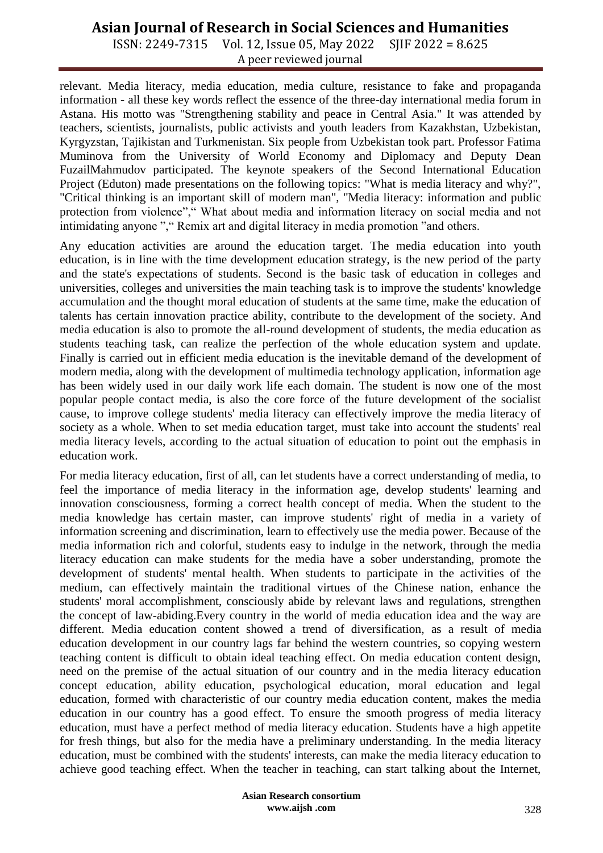ISSN: 2249-7315 Vol. 12, Issue 05, May 2022 SJIF 2022 = 8.625 A peer reviewed journal

relevant. Media literacy, media education, media culture, resistance to fake and propaganda information - all these key words reflect the essence of the three-day international media forum in Astana. His motto was "Strengthening stability and peace in Central Asia." It was attended by teachers, scientists, journalists, public activists and youth leaders from Kazakhstan, Uzbekistan, Kyrgyzstan, Tajikistan and Turkmenistan. Six people from Uzbekistan took part. Professor Fatima Muminova from the University of World Economy and Diplomacy and Deputy Dean FuzailMahmudov participated. The keynote speakers of the Second International Education Project (Eduton) made presentations on the following topics: "What is media literacy and why?", "Critical thinking is an important skill of modern man", "Media literacy: information and public protection from violence"," What about media and information literacy on social media and not intimidating anyone "," Remix art and digital literacy in media promotion "and others.

Any education activities are around the education target. The media education into youth education, is in line with the time development education strategy, is the new period of the party and the state's expectations of students. Second is the basic task of education in colleges and universities, colleges and universities the main teaching task is to improve the students' knowledge accumulation and the thought moral education of students at the same time, make the education of talents has certain innovation practice ability, contribute to the development of the society. And media education is also to promote the all-round development of students, the media education as students teaching task, can realize the perfection of the whole education system and update. Finally is carried out in efficient media education is the inevitable demand of the development of modern media, along with the development of multimedia technology application, information age has been widely used in our daily work life each domain. The student is now one of the most popular people contact media, is also the core force of the future development of the socialist cause, to improve college students' media literacy can effectively improve the media literacy of society as a whole. When to set media education target, must take into account the students' real media literacy levels, according to the actual situation of education to point out the emphasis in education work.

For media literacy education, first of all, can let students have a correct understanding of media, to feel the importance of media literacy in the information age, develop students' learning and innovation consciousness, forming a correct health concept of media. When the student to the media knowledge has certain master, can improve students' right of media in a variety of information screening and discrimination, learn to effectively use the media power. Because of the media information rich and colorful, students easy to indulge in the network, through the media literacy education can make students for the media have a sober understanding, promote the development of students' mental health. When students to participate in the activities of the medium, can effectively maintain the traditional virtues of the Chinese nation, enhance the students' moral accomplishment, consciously abide by relevant laws and regulations, strengthen the concept of law-abiding.Every country in the world of media education idea and the way are different. Media education content showed a trend of diversification, as a result of media education development in our country lags far behind the western countries, so copying western teaching content is difficult to obtain ideal teaching effect. On media education content design, need on the premise of the actual situation of our country and in the media literacy education concept education, ability education, psychological education, moral education and legal education, formed with characteristic of our country media education content, makes the media education in our country has a good effect. To ensure the smooth progress of media literacy education, must have a perfect method of media literacy education. Students have a high appetite for fresh things, but also for the media have a preliminary understanding. In the media literacy education, must be combined with the students' interests, can make the media literacy education to achieve good teaching effect. When the teacher in teaching, can start talking about the Internet,

> **Asian Research consortium www.aijsh .com**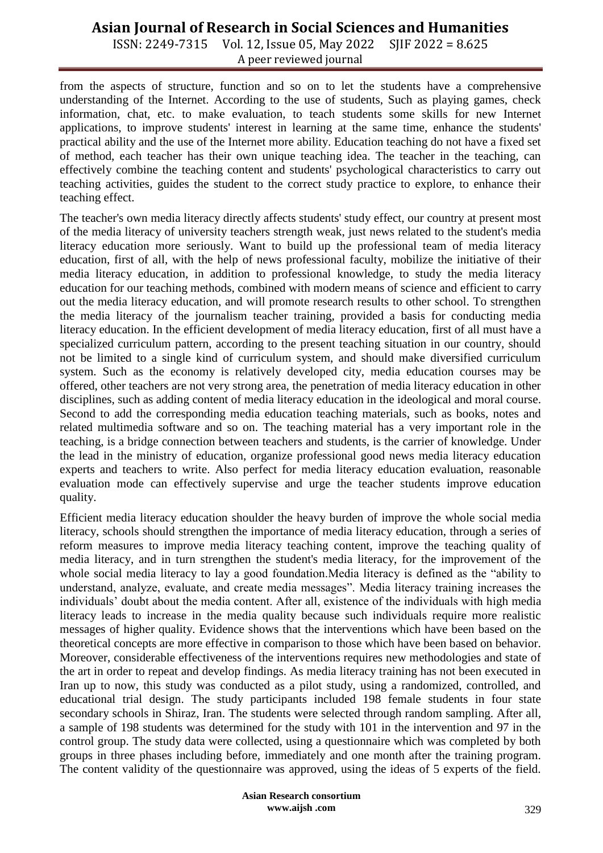ISSN: 2249-7315 Vol. 12, Issue 05, May 2022 SJIF 2022 = 8.625 A peer reviewed journal

from the aspects of structure, function and so on to let the students have a comprehensive understanding of the Internet. According to the use of students, Such as playing games, check information, chat, etc. to make evaluation, to teach students some skills for new Internet applications, to improve students' interest in learning at the same time, enhance the students' practical ability and the use of the Internet more ability. Education teaching do not have a fixed set of method, each teacher has their own unique teaching idea. The teacher in the teaching, can effectively combine the teaching content and students' psychological characteristics to carry out teaching activities, guides the student to the correct study practice to explore, to enhance their teaching effect.

The teacher's own media literacy directly affects students' study effect, our country at present most of the media literacy of university teachers strength weak, just news related to the student's media literacy education more seriously. Want to build up the professional team of media literacy education, first of all, with the help of news professional faculty, mobilize the initiative of their media literacy education, in addition to professional knowledge, to study the media literacy education for our teaching methods, combined with modern means of science and efficient to carry out the media literacy education, and will promote research results to other school. To strengthen the media literacy of the journalism teacher training, provided a basis for conducting media literacy education. In the efficient development of media literacy education, first of all must have a specialized curriculum pattern, according to the present teaching situation in our country, should not be limited to a single kind of curriculum system, and should make diversified curriculum system. Such as the economy is relatively developed city, media education courses may be offered, other teachers are not very strong area, the penetration of media literacy education in other disciplines, such as adding content of media literacy education in the ideological and moral course. Second to add the corresponding media education teaching materials, such as books, notes and related multimedia software and so on. The teaching material has a very important role in the teaching, is a bridge connection between teachers and students, is the carrier of knowledge. Under the lead in the ministry of education, organize professional good news media literacy education experts and teachers to write. Also perfect for media literacy education evaluation, reasonable evaluation mode can effectively supervise and urge the teacher students improve education quality.

Efficient media literacy education shoulder the heavy burden of improve the whole social media literacy, schools should strengthen the importance of media literacy education, through a series of reform measures to improve media literacy teaching content, improve the teaching quality of media literacy, and in turn strengthen the student's media literacy, for the improvement of the whole social media literacy to lay a good foundation.Media literacy is defined as the "ability to understand, analyze, evaluate, and create media messages". Media literacy training increases the individuals' doubt about the media content. After all, existence of the individuals with high media literacy leads to increase in the media quality because such individuals require more realistic messages of higher quality. Evidence shows that the interventions which have been based on the theoretical concepts are more effective in comparison to those which have been based on behavior. Moreover, considerable effectiveness of the interventions requires new methodologies and state of the art in order to repeat and develop findings. As media literacy training has not been executed in Iran up to now, this study was conducted as a pilot study, using a randomized, controlled, and educational trial design. The study participants included 198 female students in four state secondary schools in Shiraz, Iran. The students were selected through random sampling. After all, a sample of 198 students was determined for the study with 101 in the intervention and 97 in the control group. The study data were collected, using a questionnaire which was completed by both groups in three phases including before, immediately and one month after the training program. The content validity of the questionnaire was approved, using the ideas of 5 experts of the field.

> **Asian Research consortium www.aijsh .com**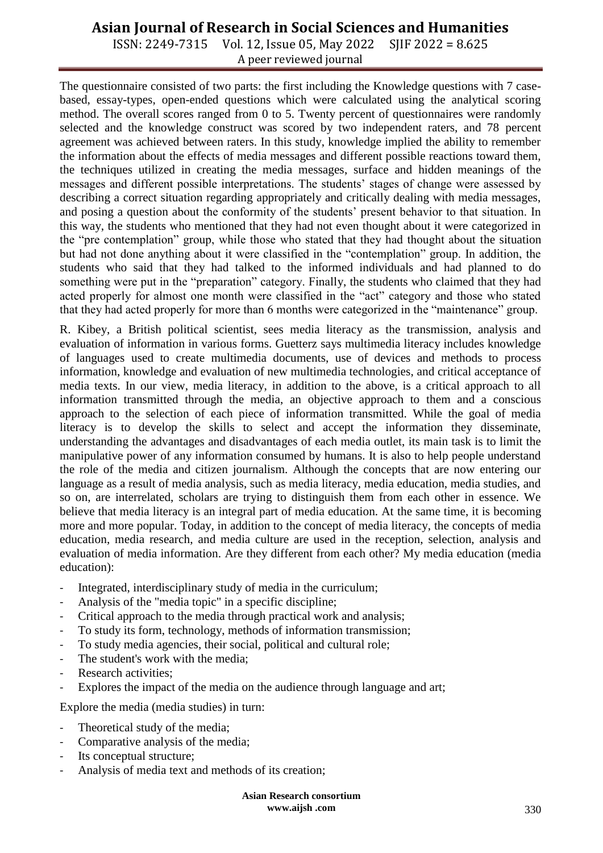ISSN: 2249-7315 Vol. 12, Issue 05, May 2022 SJIF 2022 = 8.625 A peer reviewed journal

The questionnaire consisted of two parts: the first including the Knowledge questions with 7 casebased, essay-types, open-ended questions which were calculated using the analytical scoring method. The overall scores ranged from 0 to 5. Twenty percent of questionnaires were randomly selected and the knowledge construct was scored by two independent raters, and 78 percent agreement was achieved between raters. In this study, knowledge implied the ability to remember the information about the effects of media messages and different possible reactions toward them, the techniques utilized in creating the media messages, surface and hidden meanings of the messages and different possible interpretations. The students' stages of change were assessed by describing a correct situation regarding appropriately and critically dealing with media messages, and posing a question about the conformity of the students' present behavior to that situation. In this way, the students who mentioned that they had not even thought about it were categorized in the "pre contemplation" group, while those who stated that they had thought about the situation but had not done anything about it were classified in the "contemplation" group. In addition, the students who said that they had talked to the informed individuals and had planned to do something were put in the "preparation" category. Finally, the students who claimed that they had acted properly for almost one month were classified in the "act" category and those who stated that they had acted properly for more than 6 months were categorized in the "maintenance" group.

R. Kibey, a British political scientist, sees media literacy as the transmission, analysis and evaluation of information in various forms. Guetterz says multimedia literacy includes knowledge of languages used to create multimedia documents, use of devices and methods to process information, knowledge and evaluation of new multimedia technologies, and critical acceptance of media texts. In our view, media literacy, in addition to the above, is a critical approach to all information transmitted through the media, an objective approach to them and a conscious approach to the selection of each piece of information transmitted. While the goal of media literacy is to develop the skills to select and accept the information they disseminate, understanding the advantages and disadvantages of each media outlet, its main task is to limit the manipulative power of any information consumed by humans. It is also to help people understand the role of the media and citizen journalism. Although the concepts that are now entering our language as a result of media analysis, such as media literacy, media education, media studies, and so on, are interrelated, scholars are trying to distinguish them from each other in essence. We believe that media literacy is an integral part of media education. At the same time, it is becoming more and more popular. Today, in addition to the concept of media literacy, the concepts of media education, media research, and media culture are used in the reception, selection, analysis and evaluation of media information. Are they different from each other? My media education (media education):

- Integrated, interdisciplinary study of media in the curriculum;
- Analysis of the "media topic" in a specific discipline;
- Critical approach to the media through practical work and analysis;
- To study its form, technology, methods of information transmission;
- To study media agencies, their social, political and cultural role;
- The student's work with the media;
- Research activities;
- Explores the impact of the media on the audience through language and art;

Explore the media (media studies) in turn:

- Theoretical study of the media;
- Comparative analysis of the media;
- Its conceptual structure;
- Analysis of media text and methods of its creation;